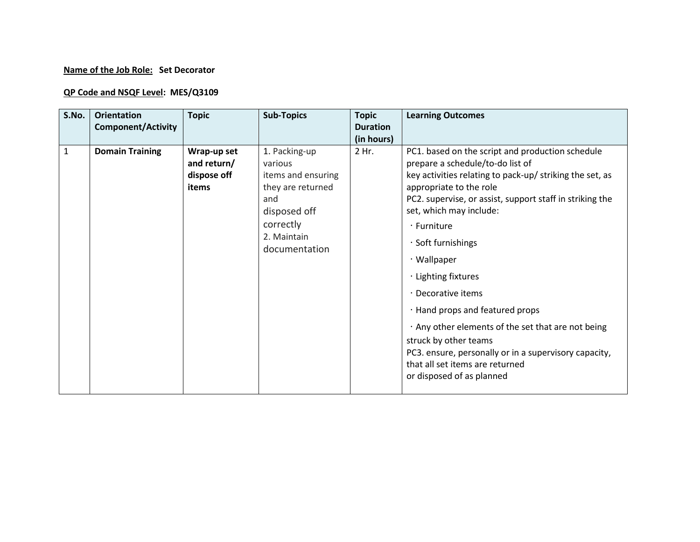## **Name of the Job Role: Set Decorator**

## **QP Code and NSQF Level: MES/Q3109**

| S.No.        | <b>Orientation</b><br><b>Component/Activity</b> | <b>Topic</b>                                       | <b>Sub-Topics</b>                                                                                                                       | <b>Topic</b><br><b>Duration</b><br>(in hours) | <b>Learning Outcomes</b>                                                                                                                                                                                                                                                                                                                                                                                                                                                                                                                                                                                     |
|--------------|-------------------------------------------------|----------------------------------------------------|-----------------------------------------------------------------------------------------------------------------------------------------|-----------------------------------------------|--------------------------------------------------------------------------------------------------------------------------------------------------------------------------------------------------------------------------------------------------------------------------------------------------------------------------------------------------------------------------------------------------------------------------------------------------------------------------------------------------------------------------------------------------------------------------------------------------------------|
| $\mathbf{1}$ | <b>Domain Training</b>                          | Wrap-up set<br>and return/<br>dispose off<br>items | 1. Packing-up<br>various<br>items and ensuring<br>they are returned<br>and<br>disposed off<br>correctly<br>2. Maintain<br>documentation | 2 Hr.                                         | PC1. based on the script and production schedule<br>prepare a schedule/to-do list of<br>key activities relating to pack-up/ striking the set, as<br>appropriate to the role<br>PC2. supervise, or assist, support staff in striking the<br>set, which may include:<br>· Furniture<br>Soft furnishings<br>· Wallpaper<br>· Lighting fixtures<br>· Decorative items<br>· Hand props and featured props<br>. Any other elements of the set that are not being<br>struck by other teams<br>PC3. ensure, personally or in a supervisory capacity,<br>that all set items are returned<br>or disposed of as planned |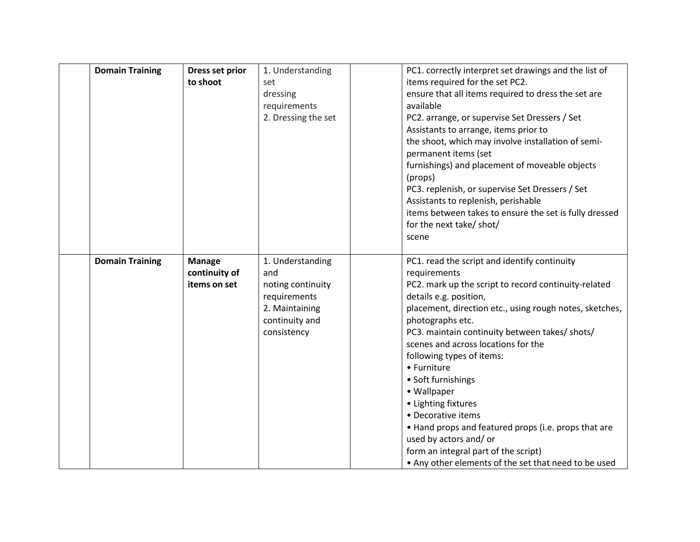| <b>Domain Training</b> | Dress set prior<br>to shoot                    | 1. Understanding<br>set<br>dressing<br>requirements<br>2. Dressing the set                                      | PC1. correctly interpret set drawings and the list of<br>items required for the set PC2.<br>ensure that all items required to dress the set are<br>available<br>PC2. arrange, or supervise Set Dressers / Set<br>Assistants to arrange, items prior to<br>the shoot, which may involve installation of semi-<br>permanent items (set<br>furnishings) and placement of moveable objects<br>(props)<br>PC3. replenish, or supervise Set Dressers / Set<br>Assistants to replenish, perishable<br>items between takes to ensure the set is fully dressed<br>for the next take/ shot/<br>scene                                             |
|------------------------|------------------------------------------------|-----------------------------------------------------------------------------------------------------------------|----------------------------------------------------------------------------------------------------------------------------------------------------------------------------------------------------------------------------------------------------------------------------------------------------------------------------------------------------------------------------------------------------------------------------------------------------------------------------------------------------------------------------------------------------------------------------------------------------------------------------------------|
| <b>Domain Training</b> | <b>Manage</b><br>continuity of<br>items on set | 1. Understanding<br>and<br>noting continuity<br>requirements<br>2. Maintaining<br>continuity and<br>consistency | PC1. read the script and identify continuity<br>requirements<br>PC2. mark up the script to record continuity-related<br>details e.g. position,<br>placement, direction etc., using rough notes, sketches,<br>photographs etc.<br>PC3. maintain continuity between takes/ shots/<br>scenes and across locations for the<br>following types of items:<br>• Furniture<br>• Soft furnishings<br>• Wallpaper<br>• Lighting fixtures<br>• Decorative items<br>• Hand props and featured props (i.e. props that are<br>used by actors and/ or<br>form an integral part of the script)<br>• Any other elements of the set that need to be used |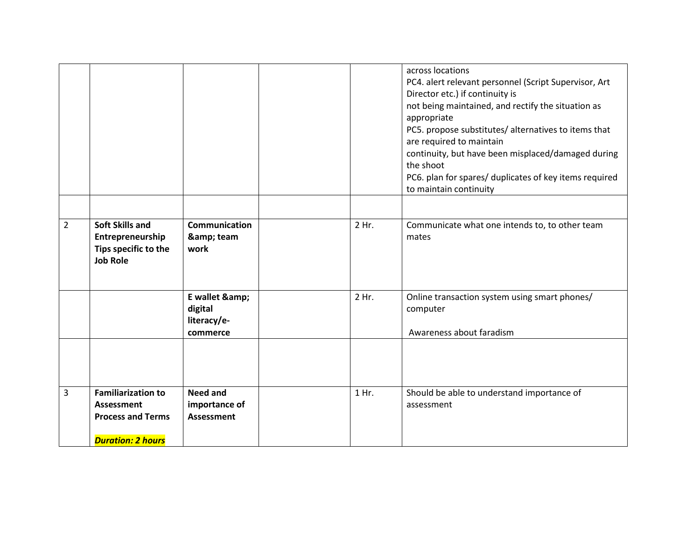|                |                                                                                                        |                                                       |       | across locations<br>PC4. alert relevant personnel (Script Supervisor, Art<br>Director etc.) if continuity is<br>not being maintained, and rectify the situation as<br>appropriate<br>PC5. propose substitutes/ alternatives to items that<br>are required to maintain<br>continuity, but have been misplaced/damaged during<br>the shoot<br>PC6. plan for spares/ duplicates of key items required<br>to maintain continuity |
|----------------|--------------------------------------------------------------------------------------------------------|-------------------------------------------------------|-------|------------------------------------------------------------------------------------------------------------------------------------------------------------------------------------------------------------------------------------------------------------------------------------------------------------------------------------------------------------------------------------------------------------------------------|
| $\overline{2}$ | <b>Soft Skills and</b><br>Entrepreneurship<br>Tips specific to the                                     | <b>Communication</b><br>& team<br>work                | 2 Hr. | Communicate what one intends to, to other team<br>mates                                                                                                                                                                                                                                                                                                                                                                      |
|                | <b>Job Role</b>                                                                                        |                                                       |       |                                                                                                                                                                                                                                                                                                                                                                                                                              |
|                |                                                                                                        | E wallet &<br>digital<br>literacy/e-<br>commerce      | 2 Hr. | Online transaction system using smart phones/<br>computer<br>Awareness about faradism                                                                                                                                                                                                                                                                                                                                        |
|                |                                                                                                        |                                                       |       |                                                                                                                                                                                                                                                                                                                                                                                                                              |
| 3              | <b>Familiarization to</b><br><b>Assessment</b><br><b>Process and Terms</b><br><b>Duration: 2 hours</b> | <b>Need and</b><br>importance of<br><b>Assessment</b> | 1 Hr. | Should be able to understand importance of<br>assessment                                                                                                                                                                                                                                                                                                                                                                     |